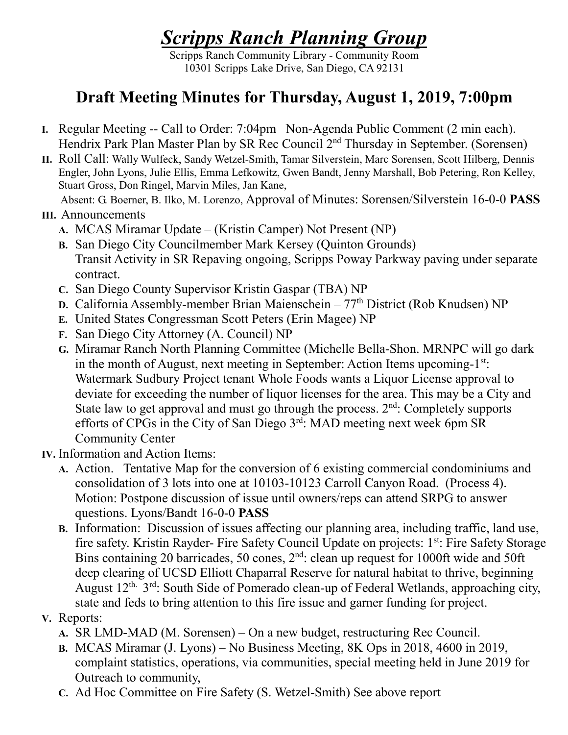# *Scripps Ranch Planning Group*

Scripps Ranch Community Library - Community Room 10301 Scripps Lake Drive, San Diego, CA 92131

## **Draft Meeting Minutes for Thursday, August 1, 2019, 7:00pm**

- **I.** Regular Meeting -- Call to Order: 7:04pm Non-Agenda Public Comment (2 min each). Hendrix Park Plan Master Plan by SR Rec Council 2nd Thursday in September. (Sorensen)
- **II.** Roll Call: Wally Wulfeck, Sandy Wetzel-Smith, Tamar Silverstein, Marc Sorensen, Scott Hilberg, Dennis Engler, John Lyons, Julie Ellis, Emma Lefkowitz, Gwen Bandt, Jenny Marshall, Bob Petering, Ron Kelley, Stuart Gross, Don Ringel, Marvin Miles, Jan Kane,

Absent: G. Boerner, B. Ilko, M. Lorenzo, Approval of Minutes: Sorensen/Silverstein 16-0-0 **PASS**

#### **III.** Announcements

- **A.** MCAS Miramar Update (Kristin Camper) Not Present (NP)
- **B.** San Diego City Councilmember Mark Kersey (Quinton Grounds) Transit Activity in SR Repaving ongoing, Scripps Poway Parkway paving under separate contract.
- **C.** San Diego County Supervisor Kristin Gaspar (TBA) NP
- **D.** California Assembly-member Brian Maienschein 77<sup>th</sup> District (Rob Knudsen) NP
- **E.** United States Congressman Scott Peters (Erin Magee) NP
- **F.** San Diego City Attorney (A. Council) NP
- **G.** Miramar Ranch North Planning Committee (Michelle Bella-Shon. MRNPC will go dark in the month of August, next meeting in September: Action Items upcoming- $1<sup>st</sup>$ : Watermark Sudbury Project tenant Whole Foods wants a Liquor License approval to deviate for exceeding the number of liquor licenses for the area. This may be a City and State law to get approval and must go through the process. 2<sup>nd</sup>: Completely supports efforts of CPGs in the City of San Diego 3rd: MAD meeting next week 6pm SR Community Center
- **IV.** Information and Action Items:
	- **A.** Action. Tentative Map for the conversion of 6 existing commercial condominiums and consolidation of 3 lots into one at 10103-10123 Carroll Canyon Road. (Process 4). Motion: Postpone discussion of issue until owners/reps can attend SRPG to answer questions. Lyons/Bandt 16-0-0 **PASS**
	- **B.** Information: Discussion of issues affecting our planning area, including traffic, land use, fire safety. Kristin Rayder- Fire Safety Council Update on projects: 1st: Fire Safety Storage Bins containing 20 barricades, 50 cones,  $2<sup>nd</sup>$ : clean up request for 1000ft wide and 50ft deep clearing of UCSD Elliott Chaparral Reserve for natural habitat to thrive, beginning August  $12^{th}$ .  $3^{rd}$ : South Side of Pomerado clean-up of Federal Wetlands, approaching city, state and feds to bring attention to this fire issue and garner funding for project.

#### **V.** Reports:

- **A.** SR LMD-MAD (M. Sorensen) On a new budget, restructuring Rec Council.
- **B.** MCAS Miramar (J. Lyons) No Business Meeting, 8K Ops in 2018, 4600 in 2019, complaint statistics, operations, via communities, special meeting held in June 2019 for Outreach to community,
- **C.** Ad Hoc Committee on Fire Safety (S. Wetzel-Smith) See above report